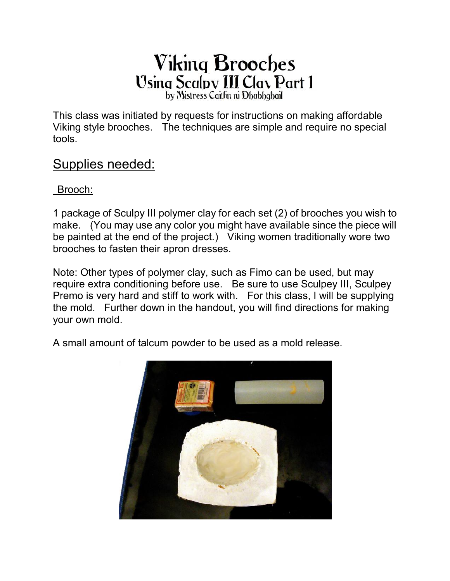## **Viking Brooches** Using Scalpy III Clay Part 1 by Mistress Caitlin ni Dhabhqhail

This class was initiated by requests for instructions on making affordable Viking style brooches. The techniques are simple and require no special tools.

### Supplies needed:

Brooch:

1 package of Sculpy III polymer clay for each set (2) of brooches you wish to make. (You may use any color you might have available since the piece will be painted at the end of the project.) Viking women traditionally wore two brooches to fasten their apron dresses.

Note: Other types of polymer clay, such as Fimo can be used, but may require extra conditioning before use. Be sure to use Sculpey III, Sculpey Premo is very hard and stiff to work with. For this class, I will be supplying the mold. Further down in the handout, you will find directions for making your own mold.

A small amount of talcum powder to be used as a mold release.

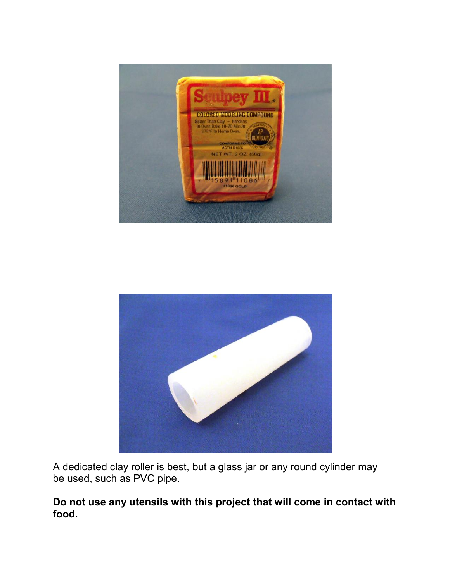



A dedicated clay roller is best, but a glass jar or any round cylinder may be used, such as PVC pipe.

#### **Do not use any utensils with this project that will come in contact with food.**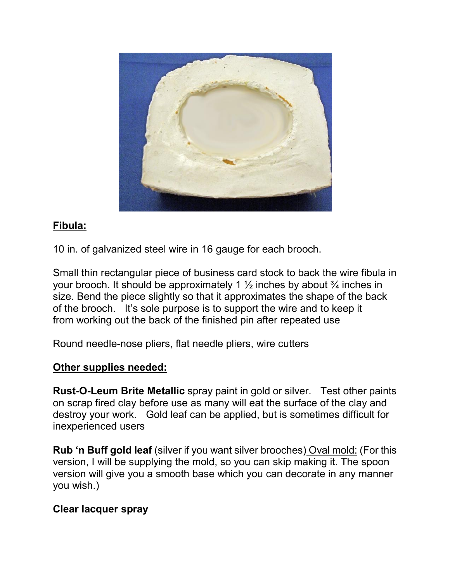

#### **Fibula:**

10 in. of galvanized steel wire in 16 gauge for each brooch.

Small thin rectangular piece of business card stock to back the wire fibula in your brooch. It should be approximately 1  $\frac{1}{2}$  inches by about  $\frac{3}{4}$  inches in size. Bend the piece slightly so that it approximates the shape of the back of the brooch. It's sole purpose is to support the wire and to keep it from working out the back of the finished pin after repeated use

Round needle-nose pliers, flat needle pliers, wire cutters

#### **Other supplies needed:**

**Rust-O-Leum Brite Metallic** spray paint in gold or silver. Test other paints on scrap fired clay before use as many will eat the surface of the clay and destroy your work. Gold leaf can be applied, but is sometimes difficult for inexperienced users

**Rub 'n Buff gold leaf** (silver if you want silver brooches) Oval mold: (For this version, I will be supplying the mold, so you can skip making it. The spoon version will give you a smooth base which you can decorate in any manner you wish.)

#### **Clear lacquer spray**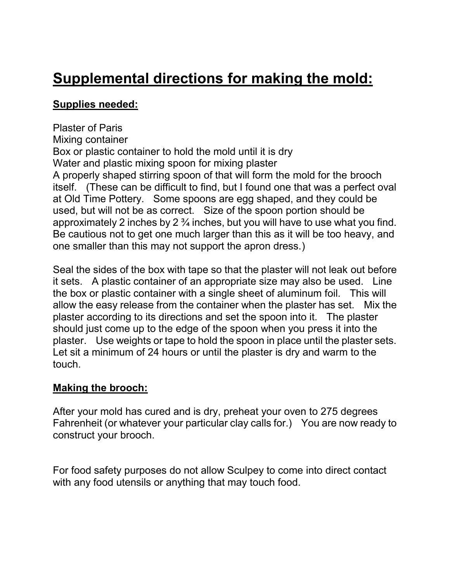# **Supplemental directions for making the mold:**

#### **Supplies needed:**

Plaster of Paris Mixing container Box or plastic container to hold the mold until it is dry Water and plastic mixing spoon for mixing plaster A properly shaped stirring spoon of that will form the mold for the brooch itself. (These can be difficult to find, but I found one that was a perfect oval at Old Time Pottery. Some spoons are egg shaped, and they could be used, but will not be as correct. Size of the spoon portion should be approximately 2 inches by 2 ¾ inches, but you will have to use what you find. Be cautious not to get one much larger than this as it will be too heavy, and one smaller than this may not support the apron dress.)

Seal the sides of the box with tape so that the plaster will not leak out before it sets. A plastic container of an appropriate size may also be used. Line the box or plastic container with a single sheet of aluminum foil. This will allow the easy release from the container when the plaster has set. Mix the plaster according to its directions and set the spoon into it. The plaster should just come up to the edge of the spoon when you press it into the plaster. Use weights or tape to hold the spoon in place until the plaster sets. Let sit a minimum of 24 hours or until the plaster is dry and warm to the touch.

#### **Making the brooch:**

After your mold has cured and is dry, preheat your oven to 275 degrees Fahrenheit (or whatever your particular clay calls for.) You are now ready to construct your brooch.

For food safety purposes do not allow Sculpey to come into direct contact with any food utensils or anything that may touch food.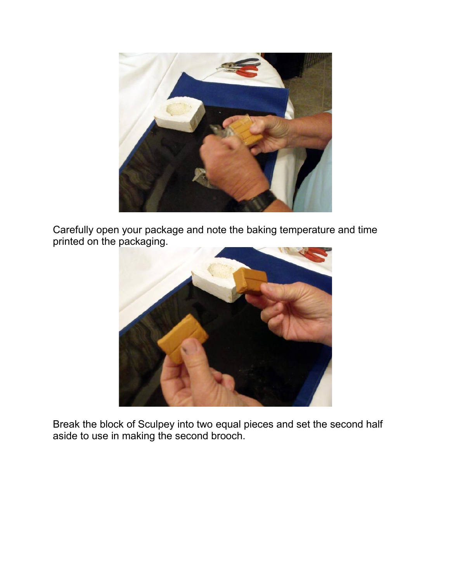

Carefully open your package and note the baking temperature and time printed on the packaging.



Break the block of Sculpey into two equal pieces and set the second half aside to use in making the second brooch.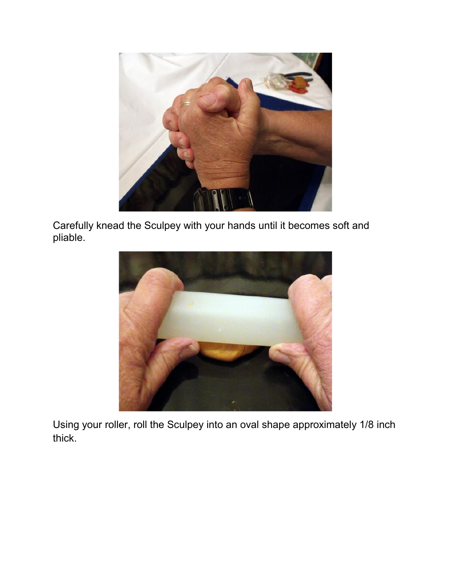

Carefully knead the Sculpey with your hands until it becomes soft and pliable.



Using your roller, roll the Sculpey into an oval shape approximately 1/8 inch thick.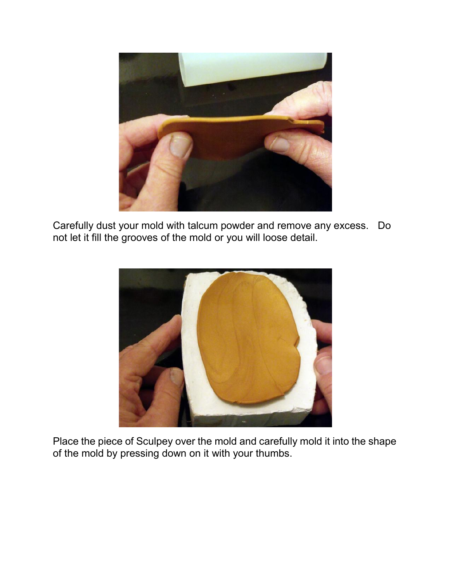

Carefully dust your mold with talcum powder and remove any excess. Do not let it fill the grooves of the mold or you will loose detail.



Place the piece of Sculpey over the mold and carefully mold it into the shape of the mold by pressing down on it with your thumbs.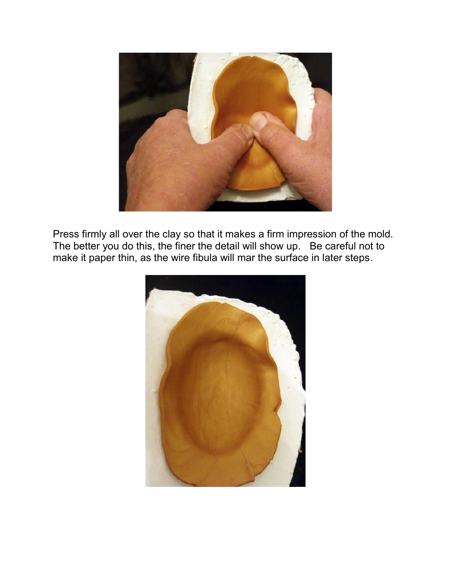

Press firmly all over the clay so that it makes a firm impression of the mold. The better you do this, the finer the detail will show up. Be careful not to make it paper thin, as the wire fibula will mar the surface in later steps.

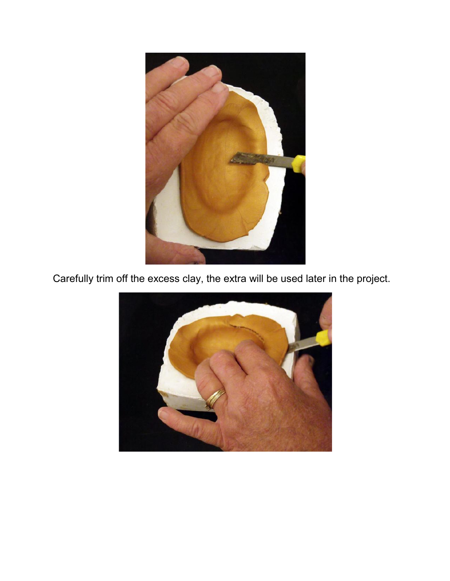

Carefully trim off the excess clay, the extra will be used later in the project.